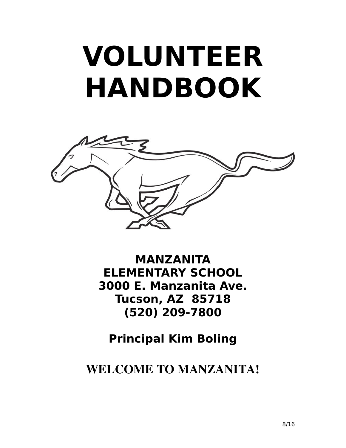# **VOLUNTEER HANDBOOK**



**MANZANITA ELEMENTARY SCHOOL 3000 E. Manzanita Ave. Tucson, AZ 85718 (520) 209-7800**

**Principal Kim Boling**

WELCOME TO MANZANITA!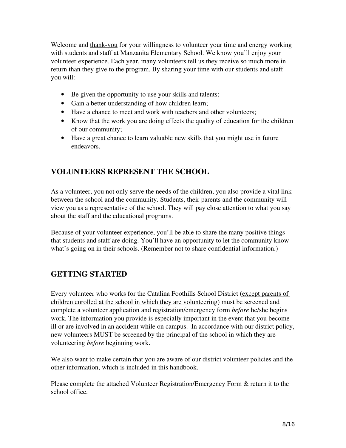Welcome and thank-you for your willingness to volunteer your time and energy working with students and staff at Manzanita Elementary School. We know you'll enjoy your volunteer experience. Each year, many volunteers tell us they receive so much more in return than they give to the program. By sharing your time with our students and staff you will:

- Be given the opportunity to use your skills and talents;
- Gain a better understanding of how children learn;
- Have a chance to meet and work with teachers and other volunteers;
- Know that the work you are doing effects the quality of education for the children of our community;
- Have a great chance to learn valuable new skills that you might use in future endeavors.

#### VOLUNTEERS REPRESENT THE SCHOOL

As a volunteer, you not only serve the needs of the children, you also provide a vital link between the school and the community. Students, their parents and the community will view you as a representative of the school. They will pay close attention to what you say about the staff and the educational programs.

Because of your volunteer experience, you'll be able to share the many positive things that students and staff are doing. You'll have an opportunity to let the community know what's going on in their schools. (Remember not to share confidential information.)

#### GETTING STARTED

Every volunteer who works for the Catalina Foothills School District (except parents of children enrolled at the school in which they are volunteering) must be screened and complete a volunteer application and registration/emergency form *before* he/she begins work. The information you provide is especially important in the event that you become ill or are involved in an accident while on campus. In accordance with our district policy, new volunteers MUST be screened by the principal of the school in which they are volunteering *before* beginning work.

We also want to make certain that you are aware of our district volunteer policies and the other information, which is included in this handbook.

Please complete the attached Volunteer Registration/Emergency Form & return it to the school office.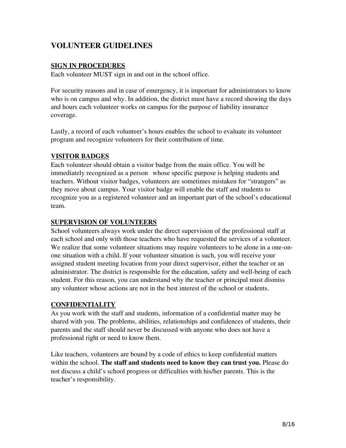#### VOLUNTEER GUIDELINES

#### SIGN IN PROCEDURES

Each volunteer MUST sign in and out in the school office.

For security reasons and in case of emergency, it is important for administrators to know who is on campus and why. In addition, the district must have a record showing the days and hours each volunteer works on campus for the purpose of liability insurance coverage.

Lastly, a record of each volunteer's hours enables the school to evaluate its volunteer program and recognize volunteers for their contribution of time.

#### VISITOR BADGES

Each volunteer should obtain a visitor badge from the main office. You will be immediately recognized as a person whose specific purpose is helping students and teachers. Without visitor badges, volunteers are sometimes mistaken for "strangers" as they move about campus. Your visitor badge will enable the staff and students to recognize you as a registered volunteer and an important part of the school's educational team.

#### SUPERVISION OF VOLUNTEERS

School volunteers always work under the direct supervision of the professional staff at each school and only with those teachers who have requested the services of a volunteer. We realize that some volunteer situations may require volunteers to be alone in a one-onone situation with a child. If your volunteer situation is such, you will receive your assigned student meeting location from your direct supervisor, either the teacher or an administrator. The district is responsible for the education, safety and well-being of each student. For this reason, you can understand why the teacher or principal must dismiss any volunteer whose actions are not in the best interest of the school or students.

#### **CONFIDENTIALITY**

As you work with the staff and students, information of a confidential matter may be shared with you. The problems, abilities, relationships and confidences of students, their parents and the staff should never be discussed with anyone who does not have a professional right or need to know them.

Like teachers, volunteers are bound by a code of ethics to keep confidential matters within the school. The staff and students need to know they can trust you. Please do not discuss a child's school progress or difficulties with his/her parents. This is the teacher's responsibility.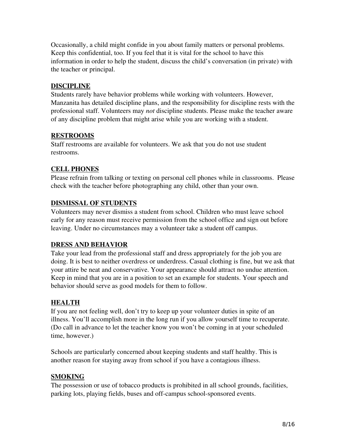Occasionally, a child might confide in you about family matters or personal problems. Keep this confidential, too. If you feel that it is vital for the school to have this information in order to help the student, discuss the child's conversation (in private) with the teacher or principal.

#### **DISCIPLINE**

Students rarely have behavior problems while working with volunteers. However, Manzanita has detailed discipline plans, and the responsibility for discipline rests with the professional staff. Volunteers may *not* discipline students. Please make the teacher aware of any discipline problem that might arise while you are working with a student.

#### RESTROOMS

Staff restrooms are available for volunteers. We ask that you do not use student restrooms.

#### CELL PHONES

Please refrain from talking or texting on personal cell phones while in classrooms. Please check with the teacher before photographing any child, other than your own.

#### DISMISSAL OF STUDENTS

Volunteers may never dismiss a student from school. Children who must leave school early for any reason must receive permission from the school office and sign out before leaving. Under no circumstances may a volunteer take a student off campus.

#### DRESS AND BEHAVIOR

Take your lead from the professional staff and dress appropriately for the job you are doing. It is best to neither overdress or underdress. Casual clothing is fine, but we ask that your attire be neat and conservative. Your appearance should attract no undue attention. Keep in mind that you are in a position to set an example for students. Your speech and behavior should serve as good models for them to follow.

#### HEALTH

If you are not feeling well, don't try to keep up your volunteer duties in spite of an illness. You'll accomplish more in the long run if you allow yourself time to recuperate. (Do call in advance to let the teacher know you won't be coming in at your scheduled time, however.)

Schools are particularly concerned about keeping students and staff healthy. This is another reason for staying away from school if you have a contagious illness.

#### **SMOKING**

The possession or use of tobacco products is prohibited in all school grounds, facilities, parking lots, playing fields, buses and off-campus school-sponsored events.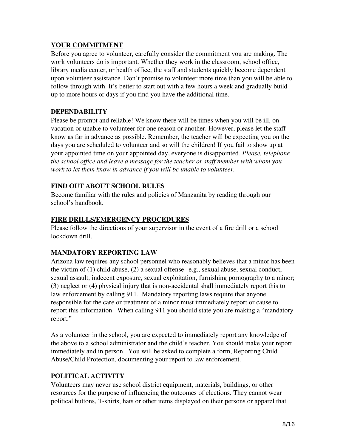#### YOUR COMMITMENT

Before you agree to volunteer, carefully consider the commitment you are making. The work volunteers do is important. Whether they work in the classroom, school office, library media center, or health office, the staff and students quickly become dependent upon volunteer assistance. Don't promise to volunteer more time than you will be able to follow through with. It's better to start out with a few hours a week and gradually build up to more hours or days if you find you have the additional time.

#### **DEPENDABILITY**

Please be prompt and reliable! We know there will be times when you will be ill, on vacation or unable to volunteer for one reason or another. However, please let the staff know as far in advance as possible. Remember, the teacher will be expecting you on the days you are scheduled to volunteer and so will the children! If you fail to show up at your appointed time on your appointed day, everyone is disappointed. *Please, telephone the school office and leave a message for the teacher or staff member with whom you work to let them know in advance if you will be unable to volunteer.*

#### FIND OUT ABOUT SCHOOL RULES

Become familiar with the rules and policies of Manzanita by reading through our school's handbook.

#### FIRE DRILLS/EMERGENCY PROCEDURES

Please follow the directions of your supervisor in the event of a fire drill or a school lockdown drill.

#### MANDATORY REPORTING LAW

Arizona law requires any school personnel who reasonably believes that a minor has been the victim of  $(1)$  child abuse,  $(2)$  a sexual offense--e.g., sexual abuse, sexual conduct, sexual assault, indecent exposure, sexual exploitation, furnishing pornography to a minor; (3) neglect or (4) physical injury that is non-accidental shall immediately report this to law enforcement by calling 911. Mandatory reporting laws require that anyone responsible for the care or treatment of a minor must immediately report or cause to report this information. When calling 911 you should state you are making a "mandatory report."

As a volunteer in the school, you are expected to immediately report any knowledge of the above to a school administrator and the child's teacher. You should make your report immediately and in person. You will be asked to complete a form, Reporting Child Abuse/Child Protection, documenting your report to law enforcement.

#### POLITICAL ACTIVITY

Volunteers may never use school district equipment, materials, buildings, or other resources for the purpose of influencing the outcomes of elections. They cannot wear political buttons, T-shirts, hats or other items displayed on their persons or apparel that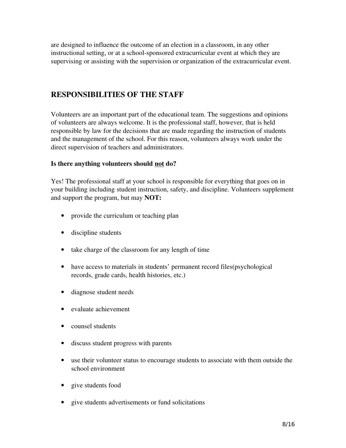are designed to influence the outcome of an election in a classroom, in any other instructional setting, or at a school-sponsored extracurricular event at which they are supervising or assisting with the supervision or organization of the extracurricular event.

#### RESPONSIBILITIES OF THE STAFF

Volunteers are an important part of the educational team. The suggestions and opinions of volunteers are always welcome. It is the professional staff, however, that is held responsible by law for the decisions that are made regarding the instruction of students and the management of the school. For this reason, volunteers always work under the direct supervision of teachers and administrators.

#### Is there anything volunteers should not do?

Yes! The professional staff at your school is responsible for everything that goes on in your building including student instruction, safety, and discipline. Volunteers supplement and support the program, but may NOT:

- provide the curriculum or teaching plan
- discipline students
- take charge of the classroom for any length of time
- have access to materials in students' permanent record files(psychological records, grade cards, health histories, etc.)
- diagnose student needs
- evaluate achievement
- counsel students
- discuss student progress with parents
- use their volunteer status to encourage students to associate with them outside the school environment
- give students food
- give students advertisements or fund solicitations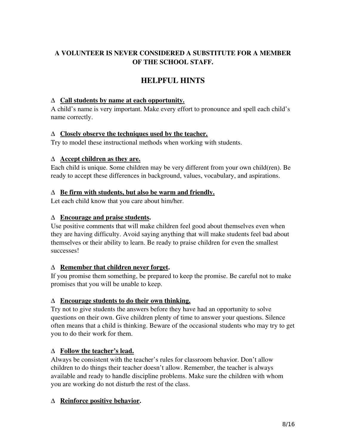#### A VOLUNTEER IS NEVER CONSIDERED A SUBSTITUTE FOR A MEMBER OF THE SCHOOL STAFF.

#### HELPFUL HINTS

#### ∆ Call students by name at each opportunity.

A child's name is very important. Make every effort to pronounce and spell each child's name correctly.

#### $\Delta$  Closely observe the techniques used by the teacher.

Try to model these instructional methods when working with students.

#### $\Delta$  Accept children as they are.

Each child is unique. Some children may be very different from your own child(ren). Be ready to accept these differences in background, values, vocabulary, and aspirations.

#### $\Delta$  Be firm with students, but also be warm and friendly.

Let each child know that you care about him/her.

#### ∆ Encourage and praise students.

Use positive comments that will make children feel good about themselves even when they are having difficulty. Avoid saying anything that will make students feel bad about themselves or their ability to learn. Be ready to praise children for even the smallest successes!

#### ∆ Remember that children never forget.

If you promise them something, be prepared to keep the promise. Be careful not to make promises that you will be unable to keep.

#### ∆ Encourage students to do their own thinking.

Try not to give students the answers before they have had an opportunity to solve questions on their own. Give children plenty of time to answer your questions. Silence often means that a child is thinking. Beware of the occasional students who may try to get you to do their work for them.

#### $\Delta$  Follow the teacher's lead.

Always be consistent with the teacher's rules for classroom behavior. Don't allow children to do things their teacher doesn't allow. Remember, the teacher is always available and ready to handle discipline problems. Make sure the children with whom you are working do not disturb the rest of the class.

#### ∆ Reinforce positive behavior.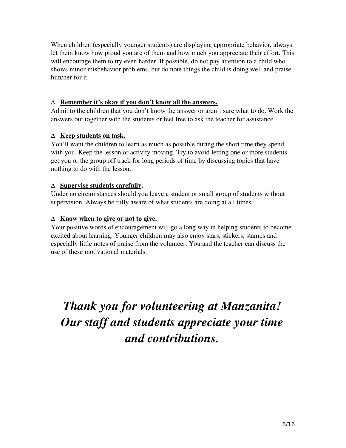When children (especially younger students) are displaying appropriate behavior, always let them know how proud you are of them and how much you appreciate their effort. This will encourage them to try even harder. If possible, do not pay attention to a child who shows minor misbehavior problems, but do note things the child is doing well and praise him/her for it.

#### ∆ Remember it's okay if you don't know all the answers.

Admit to the children that you don't know the answer or aren't sure what to do. Work the answers out together with the students or feel free to ask the teacher for assistance.

#### ∆ Keep students on task.

You'll want the children to learn as much as possible during the short time they spend with you. Keep the lesson or activity moving. Try to avoid letting one or more students get you or the group off track for long periods of time by discussing topics that have nothing to do with the lesson.

#### ∆ Supervise students carefully.

Under no circumstances should you leave a student or small group of students without supervision. Always be fully aware of what students are doing at all times.

#### $\Delta$  Know when to give or not to give.

Your positive words of encouragement will go a long way in helping students to become excited about learning. Younger children may also enjoy stars, stickers, stamps and especially little notes of praise from the volunteer. You and the teacher can discuss the use of these motivational materials.

### *Thank you for volunteering at Manzanita! Our staff and students appreciate your time and contributions.*